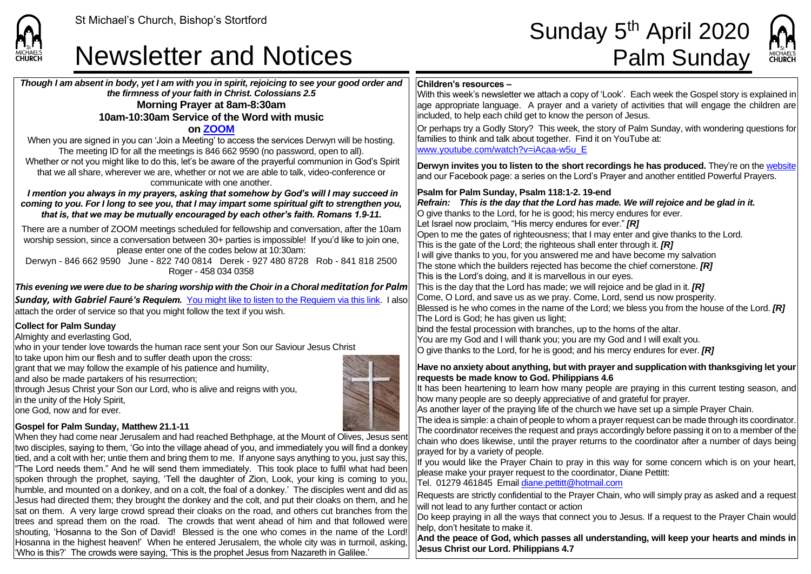

## **Newsletter and Notices**

# St Michael's Church, Bishop's Stortford<br>
Newsletter and Notices<br>
Palm Sunday



#### *Though I am absent in body, yet I am with you in spirit, rejoicing to see your good order and the firmness of your faith in Christ. Colossians 2.5* **Morning Prayer at 8am-8:30am 10am-10:30am Service of the Word with music on [ZOOM](https://zoom.us/signup)** When you are signed in you can 'Join a Meeting' to access the services Derwyn will be hosting. The meeting ID for all the meetings is 846 662 9590 (no password, open to all). Whether or not you might like to do this, let's be aware of the prayerful communion in God's Spirit that we all share, wherever we are, whether or not we are able to talk, video-conference or communicate with one another. *I mention you always in my prayers, asking that somehow by God's will I may succeed in coming to you. For I long to see you, that I may impart some spiritual gift to strengthen you, that is, that we may be mutually encouraged by each other's faith. Romans 1.9-11.* There are a number of ZOOM meetings scheduled for fellowship and conversation, after the 10am worship session, since a conversation between 30+ parties is impossible! If you'd like to join one, please enter one of the codes below at 10:30am: Derwyn - 846 662 9590 June - 822 740 0814 Derek - 927 480 8728 Rob - 841 818 2500 Roger - 458 034 0358 *This evening we were due to be sharing worship with the Choir in a Choral meditation for Palm Sunday, with Gabriel Fauré's Requiem.* [You might like to listen to the Requiem](https://www.youtube.com/watch?v=i_YbwWBtWjk) via this link. I also attach the order of service so that you might follow the text if you wish. **Collect for Palm Sunday** Almighty and everlasting God, who in your tender love towards the human race sent your Son our Saviour Jesus Christ to take upon him our flesh and to suffer death upon the cross: grant that we may follow the example of his patience and humility, and also be made partakers of his resurrection; through Jesus Christ your Son our Lord, who is alive and reigns with you, In the unity of the Holy Spirit, one God, now and for ever. **Gospel for Palm Sunday, Matthew 21.1-11** When they had come near Jerusalem and had reached Bethphage, at the Mount of Olives, Jesus sent two disciples, saying to them, 'Go into the village ahead of you, and immediately you will find a donkey tied, and a colt with her; untie them and bring them to me. If anyone says anything to you, just say this, "The Lord needs them." And he will send them immediately. This took place to fulfil what had been spoken through the prophet, saying, 'Tell the daughter of Zion, Look, your king is coming to you, humble, and mounted on a donkey, and on a colt, the foal of a donkey.' The disciples went and did as Jesus had directed them; they brought the donkey and the colt, and put their cloaks on them, and he sat on them. A very large crowd spread their cloaks on the road, and others cut branches from the trees and spread them on the road. The crowds that went ahead of him and that followed were shouting, 'Hosanna to the Son of David! Blessed is the one who comes in the name of the Lord! Hosanna in the highest heaven!' When he entered Jerusalem, the whole city was in turmoil, asking, **Children's resources –** With this week's newsletter we attach a copy of 'Look'. Each week the Gospel story is explained in age appropriate language. A prayer and a variety of activities that will engage the children are included, to help each child get to know the person of Jesus. Or perhaps try a Godly Story? This week, the story of Palm Sunday, with wondering questions for families to think and talk about together. Find it on YouTube at: [www.youtube.com/watch?v=iAcaa-w5u\\_E](www.youtube.com/watch?v=iAcaa-w5u_E) **Derwyn invites you to listen to [the short recordings](https://saintmichaelweb.org.uk/media/allmedia.aspx) he has produced.** They're on th[e website](https://saintmichaelweb.org.uk/media/allmedia.aspx) and our Facebook page: a series on the Lord's Prayer and another entitled Powerful Prayers. **Psalm for Palm Sunday, Psalm 118:1-2. 19-end** *Refrain:**This is the day that the Lord has made. We will rejoice and be glad in it.* O give thanks to the Lord, for he is good; his mercy endures for ever. Let Israel now proclaim, "His mercy endures for ever." *[R]* Open to me the gates of righteousness; that I may enter and give thanks to the Lord. This is the gate of the Lord; the righteous shall enter through it. *[R]* I will give thanks to you, for you answered me and have become my salvation The stone which the builders rejected has become the chief cornerstone. *[R]* This is the Lord's doing, and it is marvellous in our eyes. This is the day that the Lord has made; we will rejoice and be glad in it. *[R]* Come, O Lord, and save us as we pray. Come, Lord, send us now prosperity. Blessed is he who comes in the name of the Lord; we bless you from the house of the Lord. *[R]* The Lord is God; he has given us light; bind the festal procession with branches, up to the horns of the altar. You are my God and I will thank you; you are my God and I will exalt you. O give thanks to the Lord, for he is good; and his mercy endures for ever. *[R]* **Have no anxiety about anything, but with prayer and supplication with thanksgiving let your requests be made know to God. Philippians 4.6** It has been heartening to learn how many people are praying in this current testing season, and how many people are so deeply appreciative of and grateful for prayer. As another layer of the praying life of the church we have set up a simple Prayer Chain. The idea is simple: a chain of people to whom a prayer request can be made through its coordinator. The coordinator receives the request and prays accordingly before passing it on to a member of the chain who does likewise, until the prayer returns to the coordinator after a number of days being prayed for by a variety of people. If you would like the Prayer Chain to pray in this way for some concern which is on your heart, please make your prayer request to the coordinator, Diane Pettitt: Tel. 01279 461845 Email [diane.pettitt@hotmail.com](mailto:diane.pettitt@hotmail.com) Requests are strictly confidential to the Prayer Chain, who will simply pray as asked and a request will not lead to any further contact or action Do keep praying in all the ways that connect you to Jesus. If a request to the Prayer Chain would help, don't hesitate to make it. **And the peace of God, which passes all understanding, will keep your hearts and minds in Jesus Christ our Lord. Philippians 4.7**

'Who is this?' The crowds were saying, 'This is the prophet Jesus from Nazareth in Galilee.'